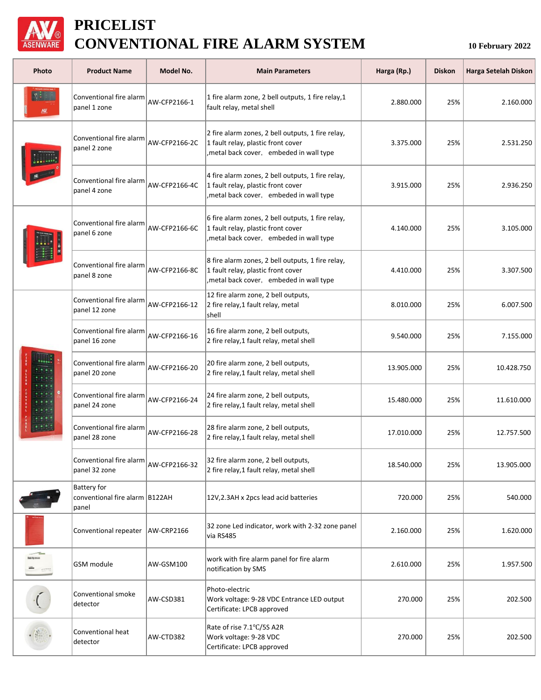

## **PRICELIST CONVENTIONAL FIRE ALARM SYSTEM**

**10 February 2022**

| Photo           | <b>Product Name</b>                                                     | Model No.            | <b>Main Parameters</b>                                                                                                              | Harga (Rp.) | <b>Diskon</b> | Harga Setelah Diskon |
|-----------------|-------------------------------------------------------------------------|----------------------|-------------------------------------------------------------------------------------------------------------------------------------|-------------|---------------|----------------------|
|                 | Conventional fire alarm<br>panel 1 zone                                 | AW-CFP2166-1         | 1 fire alarm zone, 2 bell outputs, 1 fire relay, 1<br>fault relay, metal shell                                                      | 2.880.000   | 25%           | 2.160.000            |
|                 | Conventional fire alarm<br>panel 2 zone                                 | AW-CFP2166-2C        | 2 fire alarm zones, 2 bell outputs, 1 fire relay,<br>1 fault relay, plastic front cover<br>metal back cover, embeded in wall type   | 3.375.000   | 25%           | 2.531.250            |
|                 | Conventional fire alarm<br>panel 4 zone                                 | AW-CFP2166-4C        | 4 fire alarm zones, 2 bell outputs, 1 fire relay,<br>1 fault relay, plastic front cover<br>, metal back cover, embeded in wall type | 3.915.000   | 25%           | 2.936.250            |
|                 | Conventional fire alarm<br>panel 6 zone                                 | AW-CFP2166-6C        | 6 fire alarm zones, 2 bell outputs, 1 fire relay,<br>1 fault relay, plastic front cover<br>, metal back cover, embeded in wall type | 4.140.000   | 25%           | 3.105.000            |
|                 | Conventional fire alarm<br>panel 8 zone                                 | <b>AW-CFP2166-8C</b> | 8 fire alarm zones, 2 bell outputs, 1 fire relay,<br>1 fault relay, plastic front cover<br>, metal back cover, embeded in wall type | 4.410.000   | 25%           | 3.307.500            |
|                 | Conventional fire alarm<br>panel 12 zone                                | AW-CFP2166-12        | 12 fire alarm zone, 2 bell outputs,<br>2 fire relay, 1 fault relay, metal<br>shell                                                  | 8.010.000   | 25%           | 6.007.500            |
|                 | Conventional fire alarm<br>panel 16 zone                                | AW-CFP2166-16        | 16 fire alarm zone, 2 bell outputs,<br>2 fire relay, 1 fault relay, metal shell                                                     | 9.540.000   | 25%           | 7.155.000            |
|                 | Conventional fire alarm<br>panel 20 zone                                | AW-CFP2166-20        | 20 fire alarm zone, 2 bell outputs,<br>2 fire relay, 1 fault relay, metal shell                                                     | 13.905.000  | 25%           | 10.428.750           |
|                 | Conventional fire alarm<br>panel 24 zone                                | AW-CFP2166-24        | 24 fire alarm zone, 2 bell outputs,<br>2 fire relay, 1 fault relay, metal shell                                                     | 15.480.000  | 25%           | 11.610.000           |
|                 | Conventional fire alarm<br>panel 28 zone                                | AW-CFP2166-28        | 28 fire alarm zone, 2 bell outputs,<br>2 fire relay, 1 fault relay, metal shell                                                     | 17.010.000  | 25%           | 12.757.500           |
|                 | Conventional fire alarm $\vert_{\text{AW-CFP2166-32}}$<br>panel 32 zone |                      | 32 fire alarm zone, 2 bell outputs,<br>2 fire relay, 1 fault relay, metal shell                                                     | 18.540.000  | 25%           | 13.905.000           |
|                 | <b>Battery for</b><br>conventional fire alarm B122AH<br>panel           |                      | 12V, 2.3AH x 2pcs lead acid batteries                                                                                               | 720.000     | 25%           | 540.000              |
|                 | Conventional repeater                                                   | AW-CRP2166           | 32 zone Led indicator, work with 2-32 zone panel<br>via RS485                                                                       | 2.160.000   | 25%           | 1.620.000            |
| Security Annual | <b>GSM</b> module                                                       | AW-GSM100            | work with fire alarm panel for fire alarm<br>notification by SMS                                                                    | 2.610.000   | 25%           | 1.957.500            |
|                 | Conventional smoke<br>detector                                          | AW-CSD381            | Photo-electric<br>Work voltage: 9-28 VDC Entrance LED output<br>Certificate: LPCB approved                                          | 270.000     | 25%           | 202.500              |
|                 | Conventional heat<br>detector                                           | AW-CTD382            | Rate of rise 7.1°C/5S A2R<br>Work voltage: 9-28 VDC<br>Certificate: LPCB approved                                                   | 270.000     | 25%           | 202.500              |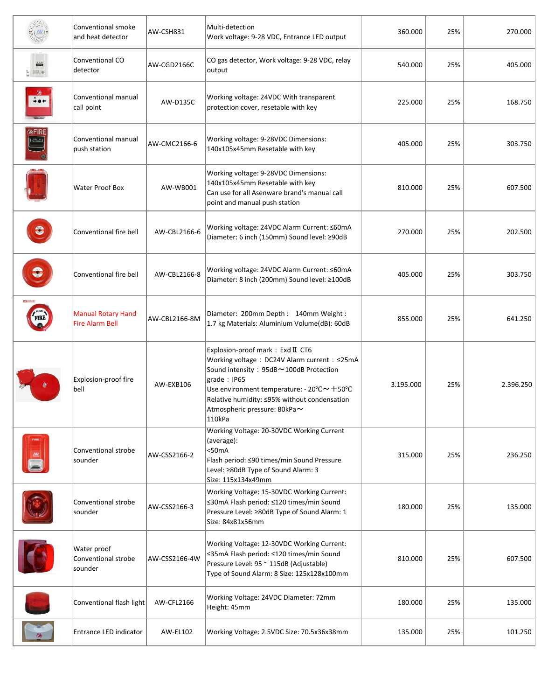|                           | Conventional smoke<br>and heat detector             | AW-CSH831     | Multi-detection<br>Work voltage: 9-28 VDC, Entrance LED output                                                                                                                                                                                                                                             | 360.000   | 25% | 270.000   |
|---------------------------|-----------------------------------------------------|---------------|------------------------------------------------------------------------------------------------------------------------------------------------------------------------------------------------------------------------------------------------------------------------------------------------------------|-----------|-----|-----------|
| $\frac{1}{2}$             | Conventional CO<br>detector                         | AW-CGD2166C   | CO gas detector, Work voltage: 9-28 VDC, relay<br>output                                                                                                                                                                                                                                                   | 540.000   | 25% | 405.000   |
|                           | Conventional manual<br>call point                   | AW-D135C      | Working voltage: 24VDC With transparent<br>protection cover, resetable with key                                                                                                                                                                                                                            | 225.000   | 25% | 168.750   |
| laFIRE<br><b>LPUSH IN</b> | Conventional manual<br>push station                 | AW-CMC2166-6  | Working voltage: 9-28VDC Dimensions:<br>140x105x45mm Resetable with key                                                                                                                                                                                                                                    | 405.000   | 25% | 303.750   |
|                           | Water Proof Box                                     | AW-WB001      | Working voltage: 9-28VDC Dimensions:<br>140x105x45mm Resetable with key<br>Can use for all Asenware brand's manual call<br>point and manual push station                                                                                                                                                   | 810.000   | 25% | 607.500   |
| €                         | Conventional fire bell                              | AW-CBL2166-6  | Working voltage: 24VDC Alarm Current: ≤60mA<br>Diameter: 6 inch (150mm) Sound level: ≥90dB                                                                                                                                                                                                                 | 270.000   | 25% | 202.500   |
| C                         | Conventional fire bell                              | AW-CBL2166-8  | Working voltage: 24VDC Alarm Current: ≤60mA<br>Diameter: 8 inch (200mm) Sound level: ≥100dB                                                                                                                                                                                                                | 405.000   | 25% | 303.750   |
|                           | <b>Manual Rotary Hand</b><br><b>Fire Alarm Bell</b> | AW-CBL2166-8M | Diameter: 200mm Depth: 140mm Weight:<br>1.7 kg Materials: Aluminium Volume(dB): 60dB                                                                                                                                                                                                                       | 855.000   | 25% | 641.250   |
|                           | Explosion-proof fire<br>bell                        | AW-EXB106     | Explosion-proof mark: Exd II CT6<br>Working voltage: DC24V Alarm current: ≤25mA<br>Sound intensity: 95dB~100dB Protection<br>grade: IP65<br>Use environment temperature: - $20^{\circ}C \sim +50^{\circ}C$<br>Relative humidity: ≤95% without condensation<br>Atmospheric pressure: 80kPa $\sim$<br>110kPa | 3.195.000 | 25% | 2.396.250 |
|                           | Conventional strobe<br>sounder                      | AW-CSS2166-2  | Working Voltage: 20-30VDC Working Current<br>(average):<br>$50mA$<br>Flash period: ≤90 times/min Sound Pressure<br>Level: ≥80dB Type of Sound Alarm: 3<br>Size: 115x134x49mm                                                                                                                               | 315.000   | 25% | 236.250   |
|                           | Conventional strobe<br>sounder                      | AW-CSS2166-3  | Working Voltage: 15-30VDC Working Current:<br>≤30mA Flash period: ≤120 times/min Sound<br>Pressure Level: ≥80dB Type of Sound Alarm: 1<br>Size: 84x81x56mm                                                                                                                                                 | 180.000   | 25% | 135.000   |
|                           | Water proof<br>Conventional strobe<br>sounder       | AW-CSS2166-4W | Working Voltage: 12-30VDC Working Current:<br>≤35mA Flash period: ≤120 times/min Sound<br>Pressure Level: 95 ~ 115dB (Adjustable)<br>Type of Sound Alarm: 8 Size: 125x128x100mm                                                                                                                            | 810.000   | 25% | 607.500   |
|                           | Conventional flash light                            | AW-CFL2166    | Working Voltage: 24VDC Diameter: 72mm<br>Height: 45mm                                                                                                                                                                                                                                                      | 180.000   | 25% | 135.000   |
|                           | Entrance LED indicator                              | AW-EL102      | Working Voltage: 2.5VDC Size: 70.5x36x38mm                                                                                                                                                                                                                                                                 | 135.000   | 25% | 101.250   |